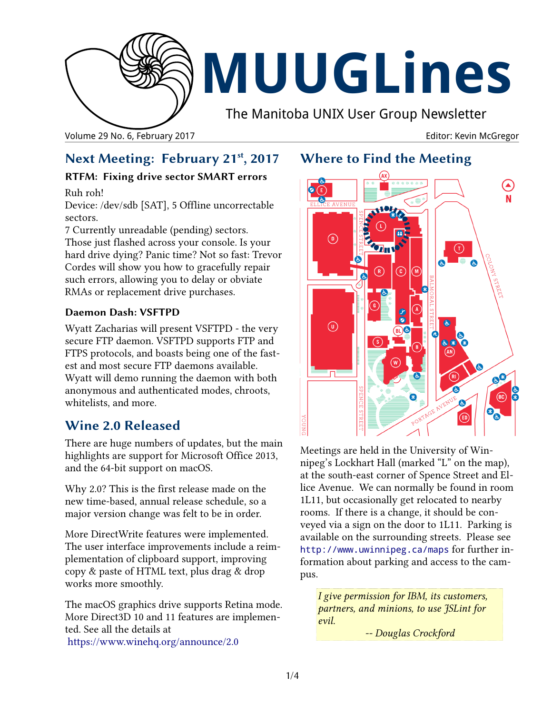

# **MUUGLines**

The Manitoba UNIX User Group Newsletter

Volume 29 No. 6, February 2017 **Editor: Kevin McGregor** Editor: Kevin McGregor

# **Next Meeting: February 21st, 2017**

## **RTFM: Fixing drive sector SMART errors**

Ruh roh!

Device: /dev/sdb [SAT], 5 Offline uncorrectable sectors.

7 Currently unreadable (pending) sectors. Those just flashed across your console. Is your hard drive dying? Panic time? Not so fast: Trevor Cordes will show you how to gracefully repair such errors, allowing you to delay or obviate RMAs or replacement drive purchases.

## **Daemon Dash: VSFTPD**

Wyatt Zacharias will present VSFTPD - the very secure FTP daemon. VSFTPD supports FTP and FTPS protocols, and boasts being one of the fastest and most secure FTP daemons available. Wyatt will demo running the daemon with both anonymous and authenticated modes, chroots, whitelists, and more.

# **Wine 2.0 Released**

There are huge numbers of updates, but the main highlights are support for Microsoft Office 2013, and the 64-bit support on macOS.

Why 2.0? This is the first release made on the new time-based, annual release schedule, so a major version change was felt to be in order.

More DirectWrite features were implemented. The user interface improvements include a reimplementation of clipboard support, improving copy & paste of HTML text, plus drag & drop works more smoothly.

The macOS graphics drive supports Retina mode. More Direct3D 10 and 11 features are implemented. See all the details at <https://www.winehq.org/announce/2.0>

## **Where to Find the Meeting**



Meetings are held in the University of Winnipeg's Lockhart Hall (marked "L" on the map), at the south-east corner of Spence Street and Ellice Avenue. We can normally be found in room 1L11, but occasionally get relocated to nearby rooms. If there is a change, it should be conveyed via a sign on the door to 1L11. Parking is available on the surrounding streets. Please see <http://www.uwinnipeg.ca/maps> for further information about parking and access to the campus.

*I give permission for IBM, its customers, partners, and minions, to use JSLint for evil.*

*-- Douglas Crockford*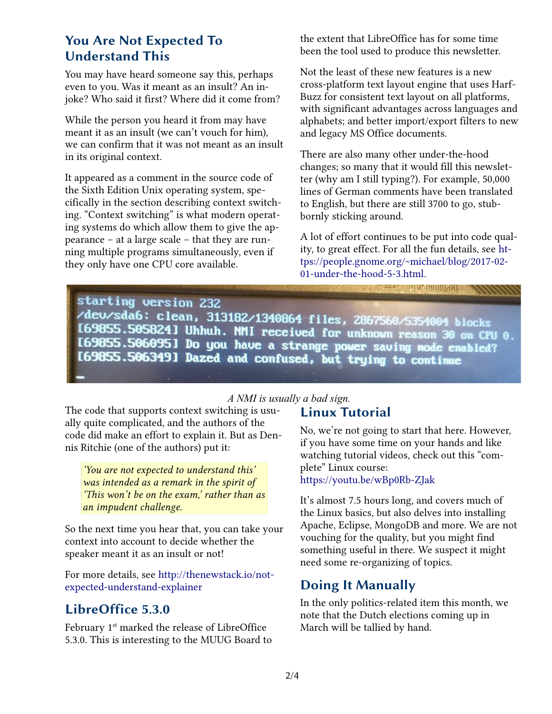## **You Are Not Expected To Understand This**

You may have heard someone say this, perhaps even to you. Was it meant as an insult? An injoke? Who said it first? Where did it come from?

While the person you heard it from may have meant it as an insult (we can't vouch for him), we can confirm that it was not meant as an insult in its original context.

It appeared as a comment in the source code of the Sixth Edition Unix operating system, specifically in the section describing context switching. "Context switching" is what modern operating systems do which allow them to give the appearance – at a large scale – that they are running multiple programs simultaneously, even if they only have one CPU core available.

the extent that LibreOffice has for some time been the tool used to produce this newsletter.

Not the least of these new features is a new cross-platform text layout engine that uses Harf-Buzz for consistent text layout on all platforms, with significant advantages across languages and alphabets; and better import/export filters to new and legacy MS Office documents.

There are also many other under-the-hood changes; so many that it would fill this newsletter (why am I still typing?). For example, 50,000 lines of German comments have been translated to English, but there are still 3700 to go, stubbornly sticking around.

A lot of effort continues to be put into code quality, to great effect. For all the fun details, see [ht](https://people.gnome.org/~michael/blog/2017-02-01-under-the-hood-5-3.html)[tps://people.gnome.org/~michael/blog/2017-02-](https://people.gnome.org/~michael/blog/2017-02-01-under-the-hood-5-3.html) [01-under-the-hood-5-3.html.](https://people.gnome.org/~michael/blog/2017-02-01-under-the-hood-5-3.html)

плосилины.

91111111

starting version 232 /deu/sda6: clean, 313182/1340864 files, 2867560/5354004 blocks [69855.505824] Uhhuh. NMI received for unknown reason 30 on CPU 0. I69855.5060951 Do you have a strange power saving mode enabled? [69855.506349] Dazed and confused, but trying to continue

#### *A NMI is usually a bad sign.*

The code that supports context switching is usually quite complicated, and the authors of the code did make an effort to explain it. But as Dennis Ritchie (one of the authors) put it:

*'You are not expected to understand this' was intended as a remark in the spirit of 'This won't be on the exam,' rather than as an impudent challenge.*

So the next time you hear that, you can take your context into account to decide whether the speaker meant it as an insult or not!

For more details, see [http://thenewstack.io/not](http://thenewstack.io/not-expected-understand-explainer)[expected-understand-explainer](http://thenewstack.io/not-expected-understand-explainer)

# **LibreOffice 5.3.0**

February 1<sup>st</sup> marked the release of LibreOffice 5.3.0. This is interesting to the MUUG Board to

## **Linux Tutorial**

No, we're not going to start that here. However, if you have some time on your hands and like watching tutorial videos, check out this "complete" Linux course: <https://youtu.be/wBp0Rb-ZJak>

It's almost 7.5 hours long, and covers much of the Linux basics, but also delves into installing Apache, Eclipse, MongoDB and more. We are not vouching for the quality, but you might find something useful in there. We suspect it might need some re-organizing of topics.

# **Doing It Manually**

In the only politics-related item this month, we note that the Dutch elections coming up in March will be tallied by hand.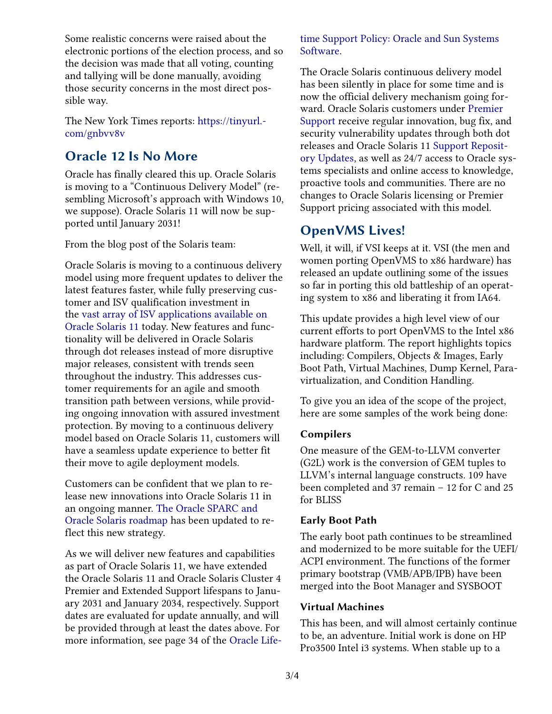Some realistic concerns were raised about the electronic portions of the election process, and so the decision was made that all voting, counting and tallying will be done manually, avoiding those security concerns in the most direct possible way.

The New York Times reports: [https://tinyurl.](https://tinyurl.com/gnbvv8v) [com/gnbvv8v](https://tinyurl.com/gnbvv8v)

## **Oracle 12 Is No More**

Oracle has finally cleared this up. Oracle Solaris is moving to a "Continuous Delivery Model" (resembling Microsoft's approach with Windows 10, we suppose). Oracle Solaris 11 will now be supported until January 2031!

From the blog post of the Solaris team:

Oracle Solaris is moving to a continuous delivery model using more frequent updates to deliver the latest features faster, while fully preserving customer and ISV qualification investment in the [vast array of ISV applications available on](http://www.oracle.com/technetwork/server-storage/solaris11/applications-1551831.html)  [Oracle Solaris 11](http://www.oracle.com/technetwork/server-storage/solaris11/applications-1551831.html) today. New features and functionality will be delivered in Oracle Solaris through dot releases instead of more disruptive major releases, consistent with trends seen throughout the industry. This addresses customer requirements for an agile and smooth transition path between versions, while providing ongoing innovation with assured investment protection. By moving to a continuous delivery model based on Oracle Solaris 11, customers will have a seamless update experience to better fit their move to agile deployment models.

Customers can be confident that we plan to release new innovations into Oracle Solaris 11 in an ongoing manner. [The Oracle SPARC and](http://www.oracle.com/us/products/servers-storage/servers/sparc/oracle-sparc/sparc-roadmap-slide-2076743.pdf)  [Oracle Solaris roadmap](http://www.oracle.com/us/products/servers-storage/servers/sparc/oracle-sparc/sparc-roadmap-slide-2076743.pdf) has been updated to reflect this new strategy.

As we will deliver new features and capabilities as part of Oracle Solaris 11, we have extended the Oracle Solaris 11 and Oracle Solaris Cluster 4 Premier and Extended Support lifespans to January 2031 and January 2034, respectively. Support dates are evaluated for update annually, and will be provided through at least the dates above. For more information, see page 34 of the [Oracle Life-](http://www.oracle.com/us/support/library/lifetime-support-hardware-301321.pdf) [time Support Policy: Oracle and Sun Systems](http://www.oracle.com/us/support/library/lifetime-support-hardware-301321.pdf)  [Software.](http://www.oracle.com/us/support/library/lifetime-support-hardware-301321.pdf)

The Oracle Solaris continuous delivery model has been silently in place for some time and is now the official delivery mechanism going forward. Oracle Solaris customers under [Premier](https://www.oracle.com/support/premier/systems/index.html)  [Support](https://www.oracle.com/support/premier/systems/index.html) receive regular innovation, bug fix, and security vulnerability updates through both dot releases and Oracle Solaris 11 [Support Reposit](https://docs.oracle.com/cd/E53394_01/html/E54838/installmain-1.html)[ory Updates,](https://docs.oracle.com/cd/E53394_01/html/E54838/installmain-1.html) as well as 24/7 access to Oracle systems specialists and online access to knowledge, proactive tools and communities. There are no changes to Oracle Solaris licensing or Premier Support pricing associated with this model.

## **OpenVMS Lives!**

Well, it will, if VSI keeps at it. VSI (the men and women porting OpenVMS to x86 hardware) has released an update outlining some of the issues so far in porting this old battleship of an operating system to x86 and liberating it from IA64.

This update provides a high level view of our current efforts to port OpenVMS to the Intel x86 hardware platform. The report highlights topics including: Compilers, Objects & Images, Early Boot Path, Virtual Machines, Dump Kernel, Paravirtualization, and Condition Handling.

To give you an idea of the scope of the project, here are some samples of the work being done:

#### **Compilers**

One measure of the GEM-to-LLVM converter (G2L) work is the conversion of GEM tuples to LLVM's internal language constructs. 109 have been completed and 37 remain – 12 for C and 25 for BLISS

#### **Early Boot Path**

The early boot path continues to be streamlined and modernized to be more suitable for the UEFI/ ACPI environment. The functions of the former primary bootstrap (VMB/APB/IPB) have been merged into the Boot Manager and SYSBOOT

#### **Virtual Machines**

This has been, and will almost certainly continue to be, an adventure. Initial work is done on HP Pro3500 Intel i3 systems. When stable up to a